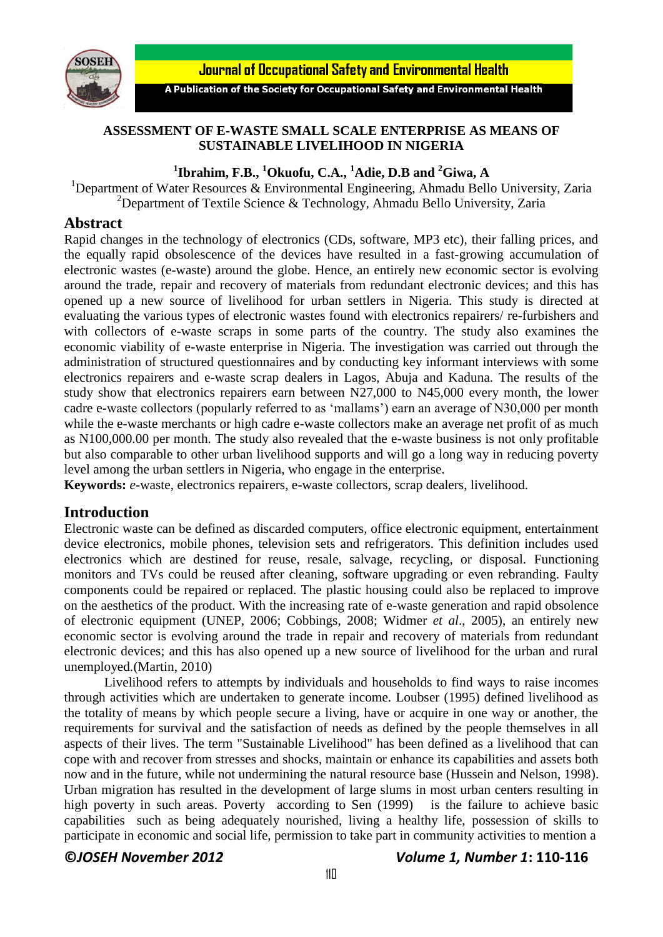

**Journal of Occupational Safety and Environmental Health** 

A Publication of the Society for Occupational Safety and Environmental Health

## **ASSESSMENT OF E-WASTE SMALL SCALE ENTERPRISE AS MEANS OF SUSTAINABLE LIVELIHOOD IN NIGERIA**

# **1 Ibrahim, F.B., <sup>1</sup>Okuofu, C.A., <sup>1</sup>Adie, D.B and <sup>2</sup>Giwa, A**

<sup>1</sup>Department of Water Resources & Environmental Engineering, Ahmadu Bello University, Zaria <sup>2</sup>Department of Textile Science & Technology, Ahmadu Bello University, Zaria

## **Abstract**

Rapid changes in the technology of electronics (CDs, software, MP3 etc), their falling prices, and the equally rapid [obsolescence](http://en.wikipedia.org/wiki/Planned_obsolescence) of the devices have resulted in a fast-growing accumulation of electronic wastes (e-waste) around the globe. Hence, an entirely new economic sector is evolving around the trade, repair and recovery of materials from redundant electronic devices; and this has opened up a new source of livelihood for urban settlers in Nigeria. This study is directed at evaluating the various types of electronic wastes found with electronics repairers/ re-furbishers and with collectors of e-waste scraps in some parts of the country. The study also examines the economic viability of e-waste enterprise in Nigeria. The investigation was carried out through the administration of structured questionnaires and by conducting key informant interviews with some electronics repairers and e-waste scrap dealers in Lagos, Abuja and Kaduna. The results of the study show that electronics repairers earn between N27,000 to N45,000 every month, the lower cadre e-waste collectors (popularly referred to as 'mallams') earn an average of N30,000 per month while the e-waste merchants or high cadre e-waste collectors make an average net profit of as much as N100,000.00 per month. The study also revealed that the e-waste business is not only profitable but also comparable to other urban livelihood supports and will go a long way in reducing poverty level among the urban settlers in Nigeria, who engage in the enterprise.

**Keywords:** *e*-waste, electronics repairers, e-waste collectors, scrap dealers, livelihood.

## **Introduction**

Electronic waste can be defined as discarded computers, office electronic equipment, entertainment device [electronics,](http://en.wikipedia.org/wiki/Electronics) [mobile phones,](http://en.wikipedia.org/wiki/Mobile_phones) [television sets](http://en.wikipedia.org/wiki/Television_set) and [refrigerators.](http://en.wikipedia.org/wiki/Refrigerator) This definition includes used electronics which are destined for reuse, resale, salvage, recycling, or disposal. Functioning monitors and TVs could be reused after cleaning, software upgrading or even rebranding. Faulty components could be repaired or replaced. The plastic housing could also be replaced to improve on the aesthetics of the product. With the increasing rate of e-waste generation and rapid obsolence of electronic equipment (UNEP, 2006; Cobbings, 2008; Widmer *et al*., 2005), an entirely new economic sector is evolving around the trade in repair and recovery of materials from redundant electronic devices; and this has also opened up a new source of livelihood for the urban and rural unemployed.(Martin, 2010)

Livelihood refers to attempts by individuals and households to find ways to raise incomes through activities which are undertaken to generate income. Loubser (1995) defined livelihood as the totality of means by which people secure a living, have or acquire in one way or another, the requirements for survival and the satisfaction of needs as defined by the people themselves in all aspects of their lives. The term "Sustainable Livelihood" has been defined as a livelihood that can cope with and recover from stresses and shocks, maintain or enhance its capabilities and assets both now and in the future, while not undermining the natural resource base (Hussein and Nelson, 1998). Urban migration has resulted in the development of large slums in most urban centers resulting in high poverty in such areas. Poverty according to Sen (1999) is the failure to achieve basic capabilities such as being adequately nourished, living a healthy life, possession of skills to participate in economic and social life, permission to take part in community activities to mention a

### **©***JOSEH November 2012 Volume 1, Number 1***: 110-116**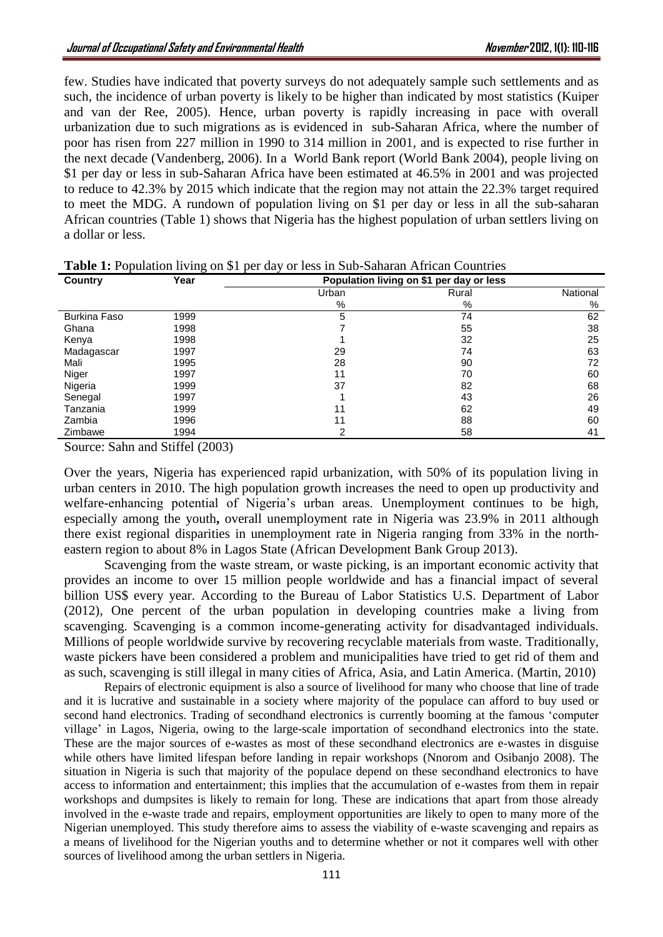few. Studies have indicated that poverty surveys do not adequately sample such settlements and as such, the incidence of urban poverty is likely to be higher than indicated by most statistics (Kuiper and van der Ree, 2005). Hence, urban poverty is rapidly increasing in pace with overall urbanization due to such migrations as is evidenced in sub-Saharan Africa, where the number of poor has risen from 227 million in 1990 to 314 million in 2001, and is expected to rise further in the next decade (Vandenberg, 2006). In a World Bank report (World Bank 2004), people living on \$1 per day or less in sub-Saharan Africa have been estimated at 46.5% in 2001 and was projected to reduce to 42.3% by 2015 which indicate that the region may not attain the 22.3% target required to meet the MDG. A rundown of population living on \$1 per day or less in all the sub-saharan African countries (Table 1) shows that Nigeria has the highest population of urban settlers living on a dollar or less.

| Country             | Year | Population living on \$1 per day or less |       |          |
|---------------------|------|------------------------------------------|-------|----------|
|                     |      | Urban                                    | Rural | National |
|                     |      | %                                        | %     | %        |
| <b>Burkina Faso</b> | 1999 | 5                                        | 74    | 62       |
| Ghana               | 1998 |                                          | 55    | 38       |
| Kenya               | 1998 |                                          | 32    | 25       |
| Madagascar          | 1997 | 29                                       | 74    | 63       |
| Mali                | 1995 | 28                                       | 90    | 72       |
| Niger               | 1997 | 11                                       | 70    | 60       |
| Nigeria             | 1999 | 37                                       | 82    | 68       |
| Senegal             | 1997 |                                          | 43    | 26       |
| Tanzania            | 1999 | 11                                       | 62    | 49       |
| Zambia              | 1996 | 11                                       | 88    | 60       |
| Zimbawe             | 1994 | 2                                        | 58    | 41       |

**Table 1:** Population living on \$1 per day or less in Sub-Saharan African Countries

Source: Sahn and Stiffel (2003)

Over the years, Nigeria has experienced rapid urbanization, with 50% of its population living in urban centers in 2010. The high population growth increases the need to open up productivity and welfare-enhancing potential of Nigeria's urban areas. Unemployment continues to be high, especially among the youth**,** overall unemployment rate in Nigeria was 23.9% in 2011 although there exist regional disparities in unemployment rate in Nigeria ranging from 33% in the northeastern region to about 8% in Lagos State (African Development Bank Group 2013).

Scavenging from the waste stream, or waste picking, is an important economic activity that provides an income to over 15 million people worldwide and has a financial impact of several billion US\$ every year. According to the Bureau of Labor Statistics U.S. Department of Labor (2012), One percent of the urban population in developing countries make a living from scavenging. Scavenging is a common income-generating activity for disadvantaged individuals. Millions of people worldwide survive by recovering recyclable materials from waste. Traditionally, waste pickers have been considered a problem and municipalities have tried to get rid of them and as such, scavenging is still illegal in many cities of Africa, Asia, and Latin America. (Martin, 2010)

Repairs of electronic equipment is also a source of livelihood for many who choose that line of trade and it is lucrative and sustainable in a society where majority of the populace can afford to buy used or second hand electronics. Trading of secondhand electronics is currently booming at the famous 'computer village' in Lagos, Nigeria, owing to the large-scale importation of secondhand electronics into the state. These are the major sources of e-wastes as most of these secondhand electronics are e-wastes in disguise while others have limited lifespan before landing in repair workshops (Nnorom and Osibanjo 2008). The situation in Nigeria is such that majority of the populace depend on these secondhand electronics to have access to information and entertainment; this implies that the accumulation of e-wastes from them in repair workshops and dumpsites is likely to remain for long. These are indications that apart from those already involved in the e-waste trade and repairs, employment opportunities are likely to open to many more of the Nigerian unemployed. This study therefore aims to assess the viability of e-waste scavenging and repairs as a means of livelihood for the Nigerian youths and to determine whether or not it compares well with other sources of livelihood among the urban settlers in Nigeria.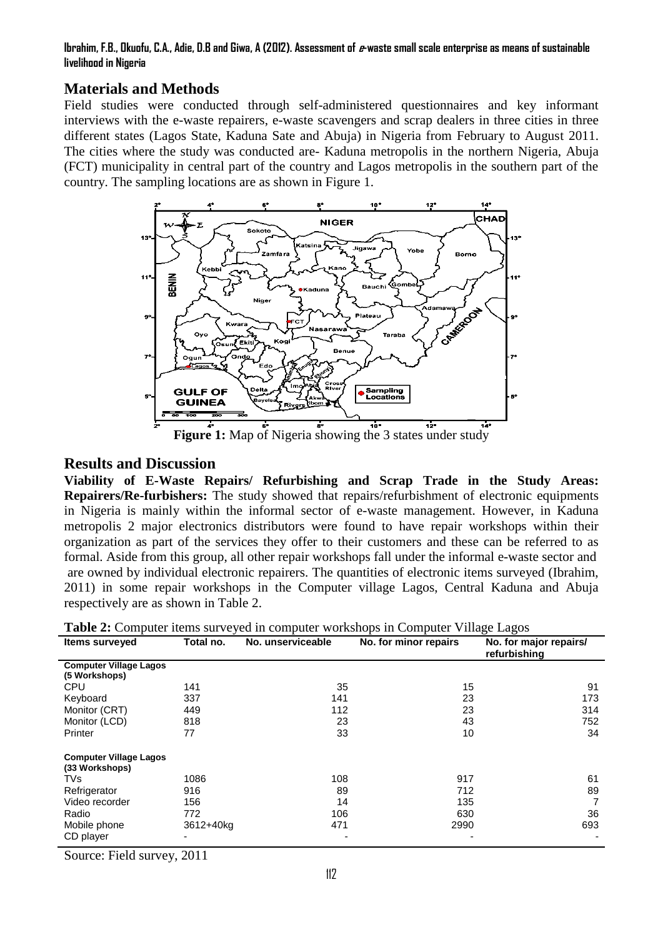#### **Ibrahim, F.B., Okuofu, C.A., Adie, D.B and Giwa, A (2012). Assessment of e-waste small scale enterprise as means of sustainable livelihood in Nigeria**

# **Materials and Methods**

Field studies were conducted through self-administered questionnaires and key informant interviews with the e-waste repairers, e-waste scavengers and scrap dealers in three cities in three different states (Lagos State, Kaduna Sate and Abuja) in Nigeria from February to August 2011. The cities where the study was conducted are- Kaduna metropolis in the northern Nigeria, Abuja (FCT) municipality in central part of the country and Lagos metropolis in the southern part of the country. The sampling locations are as shown in Figure 1.



# **Results and Discussion**

**Viability of E-Waste Repairs/ Refurbishing and Scrap Trade in the Study Areas: Repairers/Re-furbishers:** The study showed that repairs/refurbishment of electronic equipments in Nigeria is mainly within the informal sector of e-waste management. However, in Kaduna metropolis 2 major electronics distributors were found to have repair workshops within their organization as part of the services they offer to their customers and these can be referred to as formal. Aside from this group, all other repair workshops fall under the informal e-waste sector and are owned by individual electronic repairers. The quantities of electronic items surveyed (Ibrahim, 2011) in some repair workshops in the Computer village Lagos, Central Kaduna and Abuja respectively are as shown in Table 2.

|                                                 |           |                   | <b>Twore I</b> Comparer Remo our rejea in comparer workingpo in Comparer winage Eagles |                                        |
|-------------------------------------------------|-----------|-------------------|----------------------------------------------------------------------------------------|----------------------------------------|
| <b>Items surveyed</b>                           | Total no. | No. unserviceable | No. for minor repairs                                                                  | No. for major repairs/<br>refurbishing |
| <b>Computer Village Lagos</b><br>(5 Workshops)  |           |                   |                                                                                        |                                        |
| <b>CPU</b>                                      | 141       | 35                | 15                                                                                     | 91                                     |
| Keyboard                                        | 337       | 141               | 23                                                                                     | 173                                    |
| Monitor (CRT)                                   | 449       | 112               | 23                                                                                     | 314                                    |
| Monitor (LCD)                                   | 818       | 23                | 43                                                                                     | 752                                    |
| Printer                                         | 77        | 33                | 10                                                                                     | 34                                     |
| <b>Computer Village Lagos</b><br>(33 Workshops) |           |                   |                                                                                        |                                        |
| <b>TVs</b>                                      | 1086      | 108               | 917                                                                                    | 61                                     |
| Refrigerator                                    | 916       | 89                | 712                                                                                    | 89                                     |
| Video recorder                                  | 156       | 14                | 135                                                                                    | 7                                      |
| Radio                                           | 772       | 106               | 630                                                                                    | 36                                     |
| Mobile phone                                    | 3612+40kg | 471               | 2990                                                                                   | 693                                    |
| CD player                                       |           |                   |                                                                                        |                                        |

**Table 2:** Computer items surveyed in computer workshops in Computer Village Lagos

Source: Field survey, 2011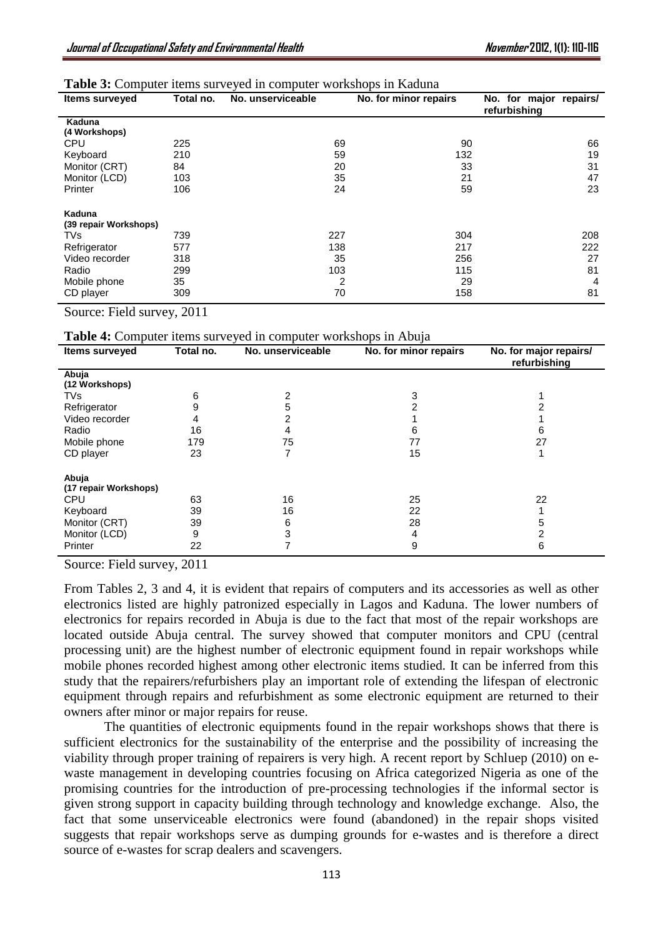| Table 3: Computer items surveyed in computer workshops in Kaduna |  |  |  |  |  |  |  |  |
|------------------------------------------------------------------|--|--|--|--|--|--|--|--|
|------------------------------------------------------------------|--|--|--|--|--|--|--|--|

| <b>Items surveyed</b> | Total no. | No. unserviceable | No. for minor repairs | No. for major repairs/<br>refurbishing |
|-----------------------|-----------|-------------------|-----------------------|----------------------------------------|
| Kaduna                |           |                   |                       |                                        |
| (4 Workshops)         |           |                   |                       |                                        |
| <b>CPU</b>            | 225       | 69                | 90                    | 66                                     |
| Keyboard              | 210       | 59                | 132                   | 19                                     |
| Monitor (CRT)         | 84        | 20                | 33                    | 31                                     |
| Monitor (LCD)         | 103       | 35                | 21                    | 47                                     |
| Printer               | 106       | 24                | 59                    | 23                                     |
| Kaduna                |           |                   |                       |                                        |
| (39 repair Workshops) |           |                   |                       |                                        |
| TVs                   | 739       | 227               | 304                   | 208                                    |
| Refrigerator          | 577       | 138               | 217                   | 222                                    |
| Video recorder        | 318       | 35                | 256                   | 27                                     |
| Radio                 | 299       | 103               | 115                   | 81                                     |
| Mobile phone          | 35        | 2                 | 29                    | 4                                      |
| CD player             | 309       | 70                | 158                   | 81                                     |

Source: Field survey, 2011

| <b>Table 4:</b> Computer items surveyed in computer workshops in Abuja |
|------------------------------------------------------------------------|
|------------------------------------------------------------------------|

| <b>Items surveyed</b> | Total no. | No. unserviceable | IJ<br>No. for minor repairs | No. for major repairs/<br>refurbishing |
|-----------------------|-----------|-------------------|-----------------------------|----------------------------------------|
| Abuja                 |           |                   |                             |                                        |
| (12 Workshops)        |           |                   |                             |                                        |
| <b>TVs</b>            | 6         | 2                 | 3                           |                                        |
| Refrigerator          | 9         | 5                 | 2                           |                                        |
| Video recorder        | 4         | 2                 |                             |                                        |
| Radio                 | 16        |                   | 6                           | 6                                      |
| Mobile phone          | 179       | 75                | 77                          | 27                                     |
| CD player             | 23        |                   | 15                          |                                        |
| Abuja                 |           |                   |                             |                                        |
| (17 repair Workshops) |           |                   |                             |                                        |
| <b>CPU</b>            | 63        | 16                | 25                          | 22                                     |
| Keyboard              | 39        | 16                | 22                          |                                        |
| Monitor (CRT)         | 39        | 6                 | 28                          | 5                                      |
| Monitor (LCD)         | 9         | 3                 | 4                           | 2                                      |
| Printer               | 22        |                   | 9                           | 6                                      |

Source: Field survey, 2011

From Tables 2, 3 and 4, it is evident that repairs of computers and its accessories as well as other electronics listed are highly patronized especially in Lagos and Kaduna. The lower numbers of electronics for repairs recorded in Abuja is due to the fact that most of the repair workshops are located outside Abuja central. The survey showed that computer monitors and CPU (central processing unit) are the highest number of electronic equipment found in repair workshops while mobile phones recorded highest among other electronic items studied. It can be inferred from this study that the repairers/refurbishers play an important role of extending the lifespan of electronic equipment through repairs and refurbishment as some electronic equipment are returned to their owners after minor or major repairs for reuse.

The quantities of electronic equipments found in the repair workshops shows that there is sufficient electronics for the sustainability of the enterprise and the possibility of increasing the viability through proper training of repairers is very high. A recent report by Schluep (2010) on ewaste management in developing countries focusing on Africa categorized Nigeria as one of the promising countries for the introduction of pre-processing technologies if the informal sector is given strong support in capacity building through technology and knowledge exchange. Also, the fact that some unserviceable electronics were found (abandoned) in the repair shops visited suggests that repair workshops serve as dumping grounds for e-wastes and is therefore a direct source of e-wastes for scrap dealers and scavengers.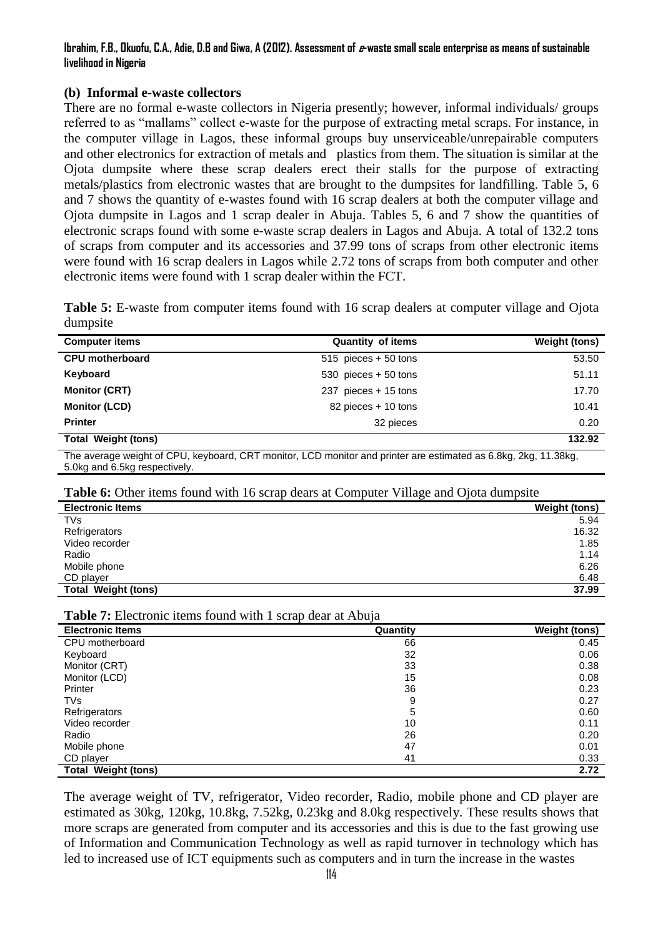### **Ibrahim, F.B., Okuofu, C.A., Adie, D.B and Giwa, A (2012). Assessment of e-waste small scale enterprise as means of sustainable livelihood in Nigeria**

## **(b) Informal e-waste collectors**

There are no formal e-waste collectors in Nigeria presently; however, informal individuals/ groups referred to as "mallams" collect e-waste for the purpose of extracting metal scraps. For instance, in the computer village in Lagos, these informal groups buy unserviceable/unrepairable computers and other electronics for extraction of metals and plastics from them. The situation is similar at the Ojota dumpsite where these scrap dealers erect their stalls for the purpose of extracting metals/plastics from electronic wastes that are brought to the dumpsites for landfilling. Table 5, 6 and 7 shows the quantity of e-wastes found with 16 scrap dealers at both the computer village and Ojota dumpsite in Lagos and 1 scrap dealer in Abuja. Tables 5, 6 and 7 show the quantities of electronic scraps found with some e-waste scrap dealers in Lagos and Abuja. A total of 132.2 tons of scraps from computer and its accessories and 37.99 tons of scraps from other electronic items were found with 16 scrap dealers in Lagos while 2.72 tons of scraps from both computer and other electronic items were found with 1 scrap dealer within the FCT.

**Table 5:** E-waste from computer items found with 16 scrap dealers at computer village and Ojota dumpsite

| <b>Computer items</b>      | <b>Quantity of items</b> | <b>Weight (tons)</b> |
|----------------------------|--------------------------|----------------------|
| <b>CPU</b> motherboard     | $515$ pieces $+50$ tons  | 53.50                |
| Keyboard                   | 530 pieces $+50$ tons    | 51.11                |
| <b>Monitor (CRT)</b>       | 237 pieces + 15 tons     | 17.70                |
| <b>Monitor (LCD)</b>       | 82 pieces + 10 tons      | 10.41                |
| <b>Printer</b>             | 32 pieces                | 0.20                 |
| <b>Total Weight (tons)</b> |                          | 132.92               |

The average weight of CPU, keyboard, CRT monitor, LCD monitor and printer are estimated as 6.8kg, 2kg, 11.38kg, 5.0kg and 6.5kg respectively.

**Table 6:** Other items found with 16 scrap dears at Computer Village and Ojota dumpsite

|                            | ຼ<br>$\cdot$         |
|----------------------------|----------------------|
| <b>Electronic Items</b>    | <b>Weight (tons)</b> |
| TVs                        | 5.94                 |
| Refrigerators              | 16.32                |
| Video recorder             | 1.85                 |
| Radio                      | 1.14                 |
| Mobile phone               | 6.26                 |
| CD player                  | 6.48                 |
| <b>Total Weight (tons)</b> | 37.99                |

**Table 7:** Electronic items found with 1 scrap dear at Abuja

| <b>Electronic Items</b>    | Quantity | <b>Weight (tons)</b> |
|----------------------------|----------|----------------------|
| CPU motherboard            | 66       | 0.45                 |
| Keyboard                   | 32       | 0.06                 |
| Monitor (CRT)              | 33       | 0.38                 |
| Monitor (LCD)              | 15       | 0.08                 |
| Printer                    | 36       | 0.23                 |
| <b>TVs</b>                 | 9        | 0.27                 |
| Refrigerators              | 5        | 0.60                 |
| Video recorder             | 10       | 0.11                 |
| Radio                      | 26       | 0.20                 |
| Mobile phone               | 47       | 0.01                 |
| CD player                  | 41       | 0.33                 |
| <b>Total Weight (tons)</b> |          | 2.72                 |

The average weight of TV, refrigerator, Video recorder, Radio, mobile phone and CD player are estimated as 30kg, 120kg, 10.8kg, 7.52kg, 0.23kg and 8.0kg respectively. These results shows that more scraps are generated from computer and its accessories and this is due to the fast growing use of Information and Communication Technology as well as rapid turnover in technology which has led to increased use of ICT equipments such as computers and in turn the increase in the wastes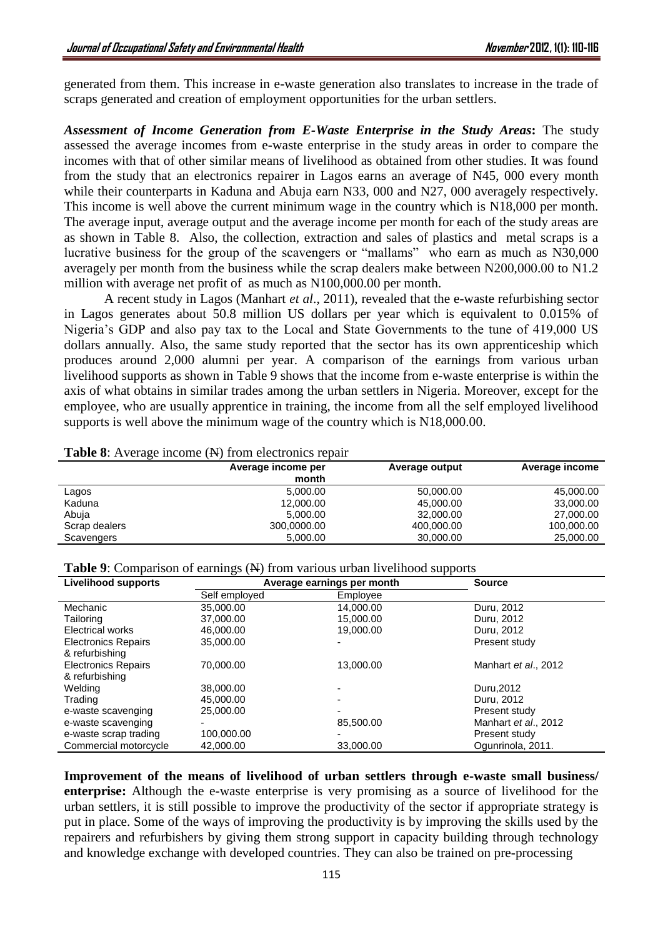generated from them. This increase in e-waste generation also translates to increase in the trade of scraps generated and creation of employment opportunities for the urban settlers.

*Assessment of Income Generation from E-Waste Enterprise in the Study Areas***:** The study assessed the average incomes from e-waste enterprise in the study areas in order to compare the incomes with that of other similar means of livelihood as obtained from other studies. It was found from the study that an electronics repairer in Lagos earns an average of N45, 000 every month while their counterparts in Kaduna and Abuja earn N33, 000 and N27, 000 averagely respectively. This income is well above the current minimum wage in the country which is N18,000 per month. The average input, average output and the average income per month for each of the study areas are as shown in Table 8. Also, the collection, extraction and sales of plastics and metal scraps is a lucrative business for the group of the scavengers or "mallams" who earn as much as N30,000 averagely per month from the business while the scrap dealers make between N200,000.00 to N1.2 million with average net profit of as much as N100,000.00 per month.

A recent study in Lagos (Manhart *et al*., 2011), revealed that the e-waste refurbishing sector in Lagos generates about 50.8 million US dollars per year which is equivalent to 0.015% of Nigeria's GDP and also pay tax to the Local and State Governments to the tune of 419,000 US dollars annually. Also, the same study reported that the sector has its own apprenticeship which produces around 2,000 alumni per year. A comparison of the earnings from various urban livelihood supports as shown in Table 9 shows that the income from e-waste enterprise is within the axis of what obtains in similar trades among the urban settlers in Nigeria. Moreover, except for the employee, who are usually apprentice in training, the income from all the self employed livelihood supports is well above the minimum wage of the country which is N18,000.00.

|               | Average income per<br>month | Average output | Average income |  |  |
|---------------|-----------------------------|----------------|----------------|--|--|
| Lagos         | 5,000.00                    | 50,000.00      | 45,000.00      |  |  |
| Kaduna        | 12,000.00                   | 45,000.00      | 33,000.00      |  |  |
| Abuja         | 5,000.00                    | 32,000.00      | 27,000.00      |  |  |
| Scrap dealers | 300,0000.00                 | 400,000.00     | 100,000.00     |  |  |
| Scavengers    | 5,000.00                    | 30,000.00      | 25,000.00      |  |  |

**Table 8**: Average income (N) from electronics repair

**Table 9:** Comparison of earnings (N) from various urban livelihood supports

| <b>Livelihood supports</b> | Average earnings per month |           | <b>Source</b>        |
|----------------------------|----------------------------|-----------|----------------------|
|                            | Self employed              | Employee  |                      |
| Mechanic                   | 35,000.00                  | 14,000.00 | Duru, 2012           |
| Tailoring                  | 37,000.00                  | 15,000.00 | Duru, 2012           |
| Electrical works           | 46,000.00                  | 19,000.00 | Duru, 2012           |
| <b>Electronics Repairs</b> | 35,000.00                  |           | Present study        |
| & refurbishing             |                            |           |                      |
| <b>Electronics Repairs</b> | 70.000.00                  | 13.000.00 | Manhart et al., 2012 |
| & refurbishing             |                            |           |                      |
| Welding                    | 38,000,00                  |           | Duru.2012            |
| Trading                    | 45,000,00                  |           | Duru, 2012           |
| e-waste scavenging         | 25,000.00                  |           | Present study        |
| e-waste scavenging         |                            | 85,500.00 | Manhart et al., 2012 |
| e-waste scrap trading      | 100,000.00                 |           | Present study        |
| Commercial motorcycle      | 42,000.00                  | 33,000.00 | Ogunrinola, 2011.    |

**Improvement of the means of livelihood of urban settlers through e-waste small business/ enterprise:** Although the e-waste enterprise is very promising as a source of livelihood for the urban settlers, it is still possible to improve the productivity of the sector if appropriate strategy is put in place. Some of the ways of improving the productivity is by improving the skills used by the repairers and refurbishers by giving them strong support in capacity building through technology and knowledge exchange with developed countries. They can also be trained on pre-processing